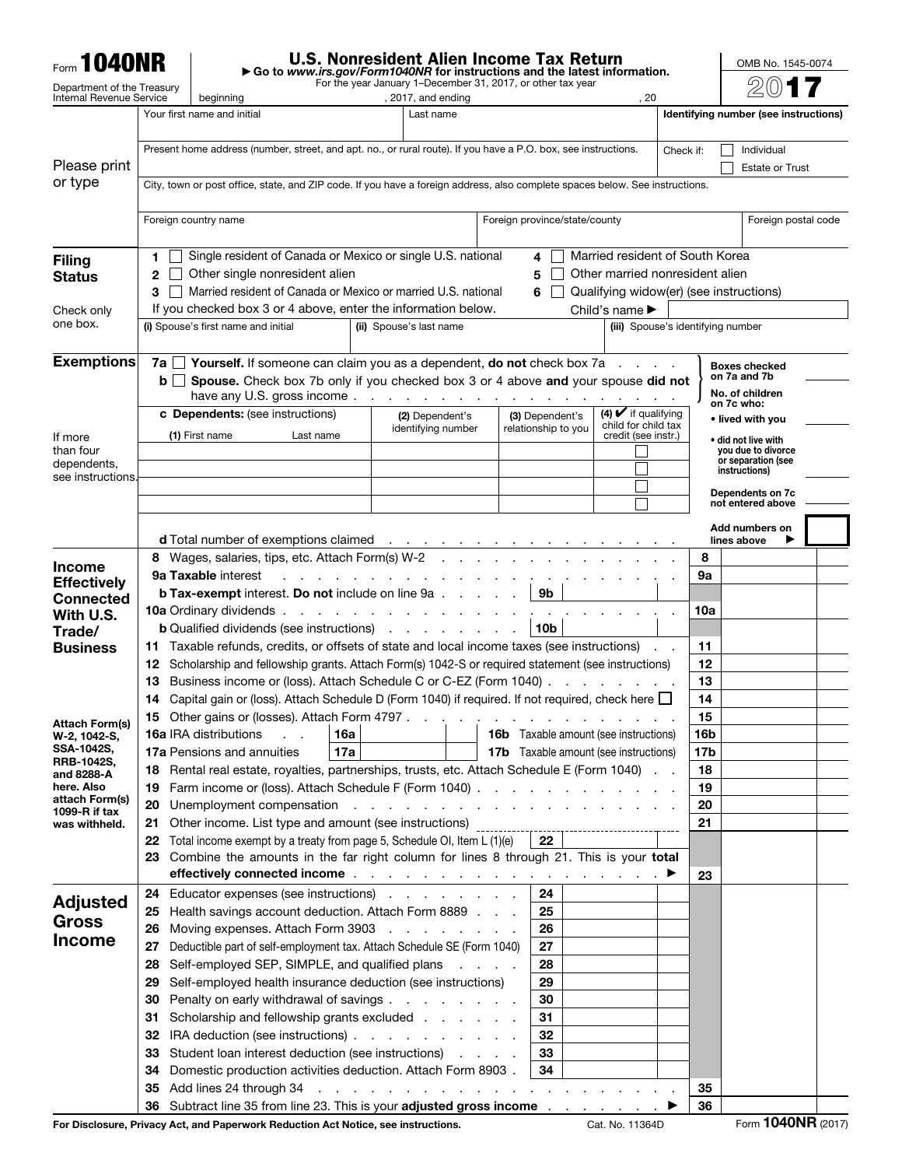| <b>Form 1040NR</b>                    |          | <b>U.S. Nonresident Alien Income Tax Return</b><br>Go to www.irs.gov/Form1040NR for instructions and the latest information.                             |                                                                                                        |                                                                                                                      |                                                   |                                         |                                          |  |  |  |  |
|---------------------------------------|----------|----------------------------------------------------------------------------------------------------------------------------------------------------------|--------------------------------------------------------------------------------------------------------|----------------------------------------------------------------------------------------------------------------------|---------------------------------------------------|-----------------------------------------|------------------------------------------|--|--|--|--|
| Department of the Treasury            |          | For the year January 1-December 31, 2017, or other tax year                                                                                              |                                                                                                        |                                                                                                                      |                                                   |                                         |                                          |  |  |  |  |
| Internal Revenue Service              |          | beginning<br>Your first name and initial                                                                                                                 | , 2017, and ending<br>Last name                                                                        |                                                                                                                      | . 20                                              |                                         | Identifying number (see instructions)    |  |  |  |  |
|                                       |          |                                                                                                                                                          |                                                                                                        |                                                                                                                      |                                                   |                                         |                                          |  |  |  |  |
|                                       |          | Present home address (number, street, and apt. no., or rural route). If you have a P.O. box, see instructions.                                           |                                                                                                        |                                                                                                                      |                                                   | Check if:                               | Individual                               |  |  |  |  |
| Please print                          |          |                                                                                                                                                          |                                                                                                        |                                                                                                                      |                                                   |                                         | <b>Estate or Trust</b>                   |  |  |  |  |
| or type                               |          | City, town or post office, state, and ZIP code. If you have a foreign address, also complete spaces below. See instructions.                             |                                                                                                        |                                                                                                                      |                                                   |                                         |                                          |  |  |  |  |
|                                       |          | Foreign country name                                                                                                                                     |                                                                                                        | Foreign province/state/county                                                                                        |                                                   |                                         | Foreign postal code                      |  |  |  |  |
|                                       |          |                                                                                                                                                          |                                                                                                        |                                                                                                                      |                                                   |                                         |                                          |  |  |  |  |
| <b>Filing</b>                         | 1        | Single resident of Canada or Mexico or single U.S. national                                                                                              |                                                                                                        | 4                                                                                                                    | Married resident of South Korea                   |                                         |                                          |  |  |  |  |
| <b>Status</b>                         | 2        | Other single nonresident alien                                                                                                                           | Other married nonresident alien                                                                        |                                                                                                                      |                                                   |                                         |                                          |  |  |  |  |
|                                       | 3        | Married resident of Canada or Mexico or married U.S. national                                                                                            |                                                                                                        | 6                                                                                                                    |                                                   | Qualifying widow(er) (see instructions) |                                          |  |  |  |  |
| Check only<br>one box.                |          | If you checked box 3 or 4 above, enter the information below.                                                                                            |                                                                                                        |                                                                                                                      | Child's name $\blacktriangleright$                |                                         |                                          |  |  |  |  |
|                                       |          | (i) Spouse's first name and initial                                                                                                                      | (ii) Spouse's last name                                                                                |                                                                                                                      |                                                   | (iii) Spouse's identifying number       |                                          |  |  |  |  |
| <b>Exemptions</b>                     | 7a       | <b>Yourself.</b> If someone can claim you as a dependent, <b>do not</b> check box 7a                                                                     |                                                                                                        |                                                                                                                      |                                                   |                                         | <b>Boxes checked</b>                     |  |  |  |  |
|                                       | bll      | Spouse. Check box 7b only if you checked box 3 or 4 above and your spouse did not                                                                        |                                                                                                        |                                                                                                                      |                                                   |                                         | on 7a and 7b                             |  |  |  |  |
|                                       |          | have any U.S. gross income                                                                                                                               |                                                                                                        |                                                                                                                      |                                                   |                                         | No. of children<br>on 7c who:            |  |  |  |  |
|                                       |          | c Dependents: (see instructions)                                                                                                                         | (2) Dependent's<br>identifying number                                                                  | (3) Dependent's<br>relationship to you                                                                               | $(4)$ $\vee$ if qualifying<br>child for child tax |                                         | • lived with you                         |  |  |  |  |
| If more                               |          | (1) First name<br>Last name                                                                                                                              |                                                                                                        |                                                                                                                      | credit (see instr.)                               |                                         | • did not live with                      |  |  |  |  |
| than four<br>dependents,              |          |                                                                                                                                                          |                                                                                                        |                                                                                                                      |                                                   |                                         | you due to divorce<br>or separation (see |  |  |  |  |
| see instructions.                     |          |                                                                                                                                                          |                                                                                                        |                                                                                                                      |                                                   |                                         | instructions)                            |  |  |  |  |
|                                       |          |                                                                                                                                                          |                                                                                                        |                                                                                                                      |                                                   |                                         | Dependents on 7c<br>not entered above    |  |  |  |  |
|                                       |          |                                                                                                                                                          |                                                                                                        |                                                                                                                      |                                                   |                                         | Add numbers on                           |  |  |  |  |
|                                       |          | d Total number of exemptions claimed                                                                                                                     |                                                                                                        | $\mathcal{L}^{\mathcal{A}}$ , where $\mathcal{L}^{\mathcal{A}}$ is the properties of the $\mathcal{L}^{\mathcal{A}}$ |                                                   |                                         | lines above                              |  |  |  |  |
| <b>Income</b>                         |          | 8 Wages, salaries, tips, etc. Attach Form(s) W-2                                                                                                         |                                                                                                        |                                                                                                                      |                                                   | 8                                       |                                          |  |  |  |  |
| <b>Effectively</b>                    |          | <b>9a Taxable interest</b><br>design and a state of the state of<br><b>b Tax-exempt</b> interest. Do not include on line 9a                              | 9а                                                                                                     |                                                                                                                      |                                                   |                                         |                                          |  |  |  |  |
| <b>Connected</b>                      |          | <b>10a</b> Ordinary dividends                                                                                                                            |                                                                                                        | 9b                                                                                                                   |                                                   | 10a                                     |                                          |  |  |  |  |
| With U.S.<br>Trade/                   |          | <b>b</b> Qualified dividends (see instructions)                                                                                                          |                                                                                                        | 10 <sub>b</sub>                                                                                                      |                                                   |                                         |                                          |  |  |  |  |
| <b>Business</b>                       |          | 11 Taxable refunds, credits, or offsets of state and local income taxes (see instructions).                                                              | 11                                                                                                     |                                                                                                                      |                                                   |                                         |                                          |  |  |  |  |
|                                       | 12       | Scholarship and fellowship grants. Attach Form(s) 1042-S or required statement (see instructions)                                                        | 12                                                                                                     |                                                                                                                      |                                                   |                                         |                                          |  |  |  |  |
|                                       | 13       |                                                                                                                                                          | Business income or (loss). Attach Schedule C or C-EZ (Form 1040).<br>and the company of the company of |                                                                                                                      |                                                   |                                         |                                          |  |  |  |  |
|                                       | 14       | Capital gain or (loss). Attach Schedule D (Form 1040) if required. If not required, check here $\square$<br>15 Other gains or (losses). Attach Form 4797 |                                                                                                        |                                                                                                                      |                                                   | 14<br>15                                |                                          |  |  |  |  |
| <b>Attach Form(s)</b><br>W-2, 1042-S, |          | 16a IRA distributions                                                                                                                                    | <b>16a</b>                                                                                             | <b>Contract Contract</b>                                                                                             | <b>16b</b> Taxable amount (see instructions)      | 16 <sub>b</sub>                         |                                          |  |  |  |  |
| SSA-1042S,                            |          | 17a Pensions and annuities<br>17a                                                                                                                        | <b>17b</b> Taxable amount (see instructions)<br>17b                                                    |                                                                                                                      |                                                   |                                         |                                          |  |  |  |  |
| <b>RRB-1042S,</b><br>and 8288-A       | 18       | Rental real estate, royalties, partnerships, trusts, etc. Attach Schedule E (Form 1040)                                                                  |                                                                                                        |                                                                                                                      |                                                   | 18                                      |                                          |  |  |  |  |
| here. Also<br>attach Form(s)          | 19       | Farm income or (loss). Attach Schedule F (Form 1040)                                                                                                     | 19                                                                                                     |                                                                                                                      |                                                   |                                         |                                          |  |  |  |  |
| 1099-R if tax                         | 20       | Unemployment compensation response to a contract the contract of the contract of the contract of the contract of                                         | 20                                                                                                     |                                                                                                                      |                                                   |                                         |                                          |  |  |  |  |
| was withheld.                         | 21<br>22 | Other income. List type and amount (see instructions)<br>Total income exempt by a treaty from page 5, Schedule OI, Item L (1)(e)                         |                                                                                                        | 22                                                                                                                   |                                                   | 21                                      |                                          |  |  |  |  |
|                                       | 23       | Combine the amounts in the far right column for lines 8 through 21. This is your total                                                                   |                                                                                                        |                                                                                                                      |                                                   |                                         |                                          |  |  |  |  |
|                                       |          | effectively connected income $\ldots$ and $\ldots$ and $\ldots$ are $\ldots$ and $\blacktriangleright$                                                   |                                                                                                        |                                                                                                                      |                                                   | 23                                      |                                          |  |  |  |  |
| <b>Adjusted</b>                       | 24       | Educator expenses (see instructions)                                                                                                                     |                                                                                                        | 24                                                                                                                   |                                                   |                                         |                                          |  |  |  |  |
| Gross                                 | 25       | Health savings account deduction. Attach Form 8889                                                                                                       |                                                                                                        | 25                                                                                                                   |                                                   |                                         |                                          |  |  |  |  |
| <b>Income</b>                         | 26       | Moving expenses. Attach Form 3903                                                                                                                        |                                                                                                        | 26                                                                                                                   |                                                   |                                         |                                          |  |  |  |  |
|                                       | 27       | Deductible part of self-employment tax. Attach Schedule SE (Form 1040)                                                                                   |                                                                                                        | 27                                                                                                                   |                                                   |                                         |                                          |  |  |  |  |
|                                       | 28<br>29 | Self-employed SEP, SIMPLE, and qualified plans<br>Self-employed health insurance deduction (see instructions)                                            |                                                                                                        | 28<br>29                                                                                                             |                                                   |                                         |                                          |  |  |  |  |
|                                       | 30       | Penalty on early withdrawal of savings                                                                                                                   |                                                                                                        | 30                                                                                                                   |                                                   |                                         |                                          |  |  |  |  |
|                                       | 31       | Scholarship and fellowship grants excluded                                                                                                               |                                                                                                        | 31                                                                                                                   |                                                   |                                         |                                          |  |  |  |  |
|                                       | 32       | IRA deduction (see instructions)                                                                                                                         |                                                                                                        | 32                                                                                                                   |                                                   |                                         |                                          |  |  |  |  |
|                                       | 33       | Student loan interest deduction (see instructions)                                                                                                       |                                                                                                        | 33                                                                                                                   |                                                   |                                         |                                          |  |  |  |  |
|                                       | 34       | Domestic production activities deduction. Attach Form 8903.                                                                                              |                                                                                                        | 34                                                                                                                   |                                                   |                                         |                                          |  |  |  |  |
|                                       | 35<br>36 | Add lines 24 through 34<br>Subtract line 35 from line 23. This is your adjusted gross income                                                             |                                                                                                        | and the contract of the contract of the contract of the                                                              |                                                   | 35<br>36                                |                                          |  |  |  |  |
|                                       |          |                                                                                                                                                          |                                                                                                        |                                                                                                                      |                                                   |                                         |                                          |  |  |  |  |

For Disclosure, Privacy Act, and Paperwork Reduction Act Notice, see instructions. Cat. No. 11364D Form **1040NR** (2017)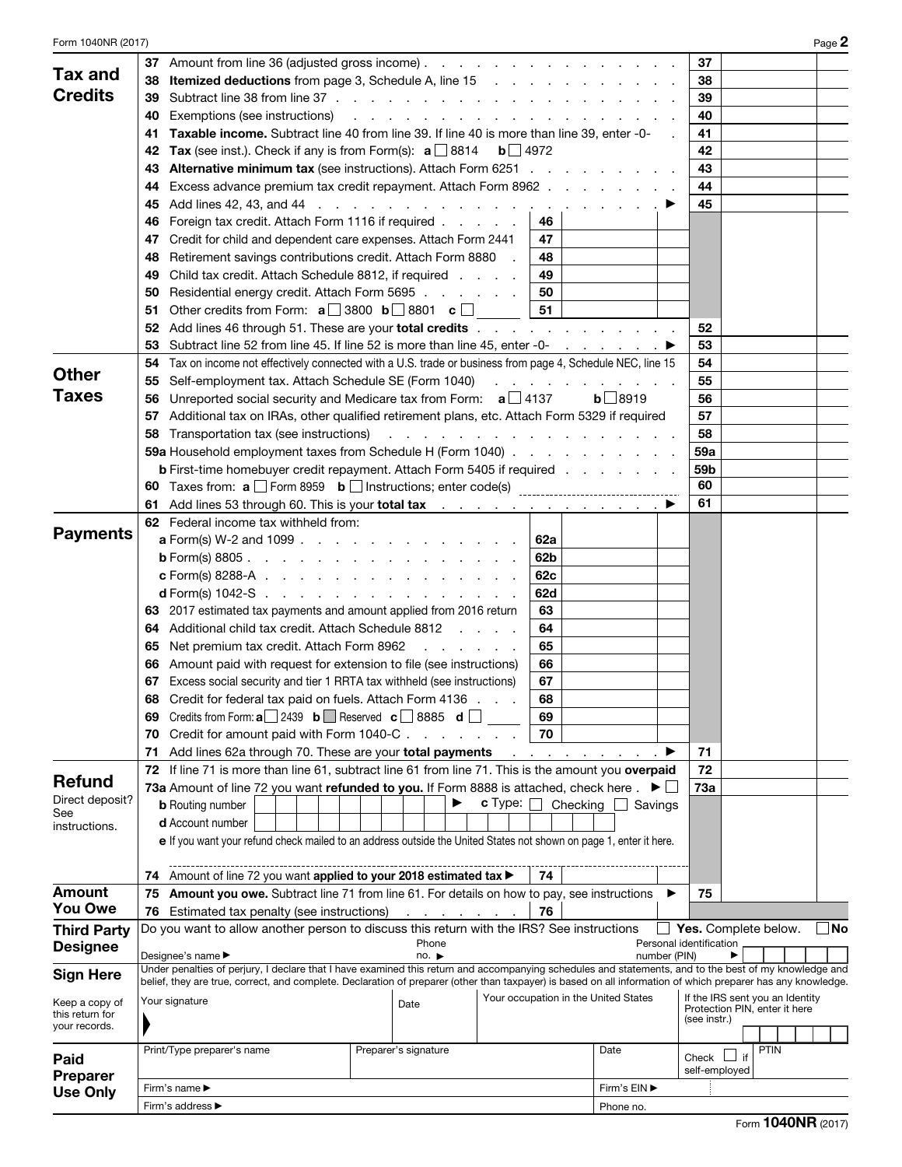| Form 1040NR (2017) |                                                                                                                    |                                                                                                          | Page 2                                                                                                                                                       |
|--------------------|--------------------------------------------------------------------------------------------------------------------|----------------------------------------------------------------------------------------------------------|--------------------------------------------------------------------------------------------------------------------------------------------------------------|
|                    | 37 Amount from line 36 (adjusted gross income)                                                                     |                                                                                                          | 37                                                                                                                                                           |
| <b>Tax and</b>     | 38                                                                                                                 |                                                                                                          | 38                                                                                                                                                           |
| <b>Credits</b>     | 39                                                                                                                 |                                                                                                          | 39                                                                                                                                                           |
|                    | Exemptions (see instructions)<br>40                                                                                | and a series of the contract of the contract of the con-                                                 | 40                                                                                                                                                           |
|                    | 41                                                                                                                 | <b>Taxable income.</b> Subtract line 40 from line 39. If line 40 is more than line 39, enter -0-         | 41                                                                                                                                                           |
|                    | <b>Tax</b> (see inst.). Check if any is from Form(s): $a \Box 8814$<br>42                                          | $\mathbf{b}$   4972                                                                                      | 42                                                                                                                                                           |
|                    | 43                                                                                                                 | <b>Alternative minimum tax</b> (see instructions). Attach Form 6251                                      | 43                                                                                                                                                           |
|                    |                                                                                                                    |                                                                                                          | 44                                                                                                                                                           |
|                    | 44                                                                                                                 | Excess advance premium tax credit repayment. Attach Form 8962                                            |                                                                                                                                                              |
|                    | 45                                                                                                                 |                                                                                                          | 45                                                                                                                                                           |
|                    | Foreign tax credit. Attach Form 1116 if required<br>46                                                             | 46                                                                                                       |                                                                                                                                                              |
|                    | Credit for child and dependent care expenses. Attach Form 2441<br>47                                               | 47                                                                                                       |                                                                                                                                                              |
|                    | Retirement savings contributions credit. Attach Form 8880<br>48                                                    | 48                                                                                                       |                                                                                                                                                              |
|                    | Child tax credit. Attach Schedule 8812, if required<br>49                                                          | 49                                                                                                       |                                                                                                                                                              |
|                    | Residential energy credit. Attach Form 5695<br>50                                                                  | 50                                                                                                       |                                                                                                                                                              |
|                    | Other credits from Form: $\mathbf{a}$ 3800 $\mathbf{b}$ 3801 $\mathbf{c}$<br>51                                    | 51                                                                                                       |                                                                                                                                                              |
|                    | 52                                                                                                                 | Add lines 46 through 51. These are your <b>total credits</b>                                             | 52                                                                                                                                                           |
|                    | 53                                                                                                                 | Subtract line 52 from line 45. If line 52 is more than line 45, enter -0- $\ldots$ $\ldots$              | 53                                                                                                                                                           |
|                    | 54                                                                                                                 | Tax on income not effectively connected with a U.S. trade or business from page 4, Schedule NEC, line 15 | 54                                                                                                                                                           |
| <b>Other</b>       | Self-employment tax. Attach Schedule SE (Form 1040)<br>55                                                          | and a state of the state of the                                                                          | 55                                                                                                                                                           |
| <b>Taxes</b>       | Unreported social security and Medicare tax from Form: $a \Box 4137$<br>56                                         |                                                                                                          | $b$ 8919<br>56                                                                                                                                               |
|                    | 57                                                                                                                 | Additional tax on IRAs, other qualified retirement plans, etc. Attach Form 5329 if required              | 57                                                                                                                                                           |
|                    | Transportation tax (see instructions)<br>58                                                                        | and the contract of the contract of the contract of the                                                  | 58                                                                                                                                                           |
|                    | 59a Household employment taxes from Schedule H (Form 1040)                                                         |                                                                                                          | 59a                                                                                                                                                          |
|                    | <b>b</b> First-time homebuyer credit repayment. Attach Form 5405 if required                                       |                                                                                                          | 59 <sub>b</sub>                                                                                                                                              |
|                    |                                                                                                                    |                                                                                                          | 60                                                                                                                                                           |
|                    | 61                                                                                                                 |                                                                                                          | 61                                                                                                                                                           |
|                    | <b>62</b> Federal income tax withheld from:                                                                        |                                                                                                          |                                                                                                                                                              |
| <b>Payments</b>    | <b>a</b> Form(s) W-2 and 1099                                                                                      | 62a                                                                                                      |                                                                                                                                                              |
|                    | <b>b</b> Form(s) 8805.                                                                                             | 62b                                                                                                      |                                                                                                                                                              |
|                    | <b>c</b> Form(s) 8288-A                                                                                            | 62c                                                                                                      |                                                                                                                                                              |
|                    | <b>d</b> Form(s) 1042-S $\ldots$ $\ldots$ $\ldots$ $\ldots$ $\ldots$ $\ldots$ $\ldots$                             | 62d                                                                                                      |                                                                                                                                                              |
|                    | 63 2017 estimated tax payments and amount applied from 2016 return                                                 | 63                                                                                                       |                                                                                                                                                              |
|                    | Additional child tax credit. Attach Schedule 8812<br>64                                                            | 64                                                                                                       |                                                                                                                                                              |
|                    |                                                                                                                    | 65                                                                                                       |                                                                                                                                                              |
|                    | Net premium tax credit. Attach Form 8962<br>65                                                                     | and a state of the state of<br>66                                                                        |                                                                                                                                                              |
|                    | Amount paid with request for extension to file (see instructions)<br>66                                            |                                                                                                          |                                                                                                                                                              |
|                    | 67 Excess social security and tier 1 RRTA tax withheld (see instructions)                                          | 67                                                                                                       |                                                                                                                                                              |
|                    | 68 Credit for federal tax paid on fuels. Attach Form 4136                                                          | 68                                                                                                       |                                                                                                                                                              |
|                    | Credits from Form: $a$ 2439 <b>b</b> Reserved <b>c</b> 8885 <b>d</b><br>69                                         | 69                                                                                                       |                                                                                                                                                              |
|                    | Credit for amount paid with Form 1040-C<br>70                                                                      | 70                                                                                                       |                                                                                                                                                              |
|                    | Add lines 62a through 70. These are your total payments<br>71                                                      | and a strong control of                                                                                  | 71                                                                                                                                                           |
| <b>Refund</b>      | 72 If line 71 is more than line 61, subtract line 61 from line 71. This is the amount you overpaid                 |                                                                                                          | 72                                                                                                                                                           |
| Direct deposit?    | 73a Amount of line 72 you want refunded to you. If Form 8888 is attached, check here $\Box$                        |                                                                                                          | 73a                                                                                                                                                          |
| See                | <b>b</b> Routing number                                                                                            | <b>c</b> Type:<br>Checking $\Box$                                                                        | Savings                                                                                                                                                      |
| instructions.      | <b>d</b> Account number                                                                                            |                                                                                                          |                                                                                                                                                              |
|                    | e If you want your refund check mailed to an address outside the United States not shown on page 1, enter it here. |                                                                                                          |                                                                                                                                                              |
|                    |                                                                                                                    |                                                                                                          |                                                                                                                                                              |
|                    | 74 Amount of line 72 you want applied to your 2018 estimated tax >                                                 | 74                                                                                                       |                                                                                                                                                              |
| <b>Amount</b>      | 75 Amount you owe. Subtract line 71 from line 61. For details on how to pay, see instructions                      |                                                                                                          | 75                                                                                                                                                           |
| <b>You Owe</b>     | <b>76</b> Estimated tax penalty (see instructions)                                                                 | 76<br>and a state of the                                                                                 |                                                                                                                                                              |
| <b>Third Party</b> | Do you want to allow another person to discuss this return with the IRS? See instructions                          |                                                                                                          | No<br>$\Box$ Yes. Complete below.                                                                                                                            |
| <b>Designee</b>    | Designee's name ▶                                                                                                  | Phone<br>no.                                                                                             | Personal identification<br>number (PIN)                                                                                                                      |
|                    |                                                                                                                    |                                                                                                          | Under penalties of perjury, I declare that I have examined this return and accompanying schedules and statements, and to the best of my knowledge and        |
| <b>Sign Here</b>   |                                                                                                                    |                                                                                                          | belief, they are true, correct, and complete. Declaration of preparer (other than taxpayer) is based on all information of which preparer has any knowledge. |
| Keep a copy of     | Your signature                                                                                                     | Your occupation in the United States<br>Date                                                             | If the IRS sent you an Identity                                                                                                                              |
| this return for    |                                                                                                                    |                                                                                                          | Protection PIN, enter it here<br>(see instr.)                                                                                                                |
| your records.      |                                                                                                                    |                                                                                                          |                                                                                                                                                              |
|                    | Print/Type preparer's name                                                                                         | Preparer's signature                                                                                     | <b>PTIN</b><br>Date<br>if                                                                                                                                    |
| Paid               |                                                                                                                    |                                                                                                          | Check I<br>self-employed                                                                                                                                     |
| <b>Preparer</b>    | Firm's name ▶                                                                                                      |                                                                                                          | Firm's EIN ▶                                                                                                                                                 |
| <b>Use Only</b>    | Firm's address ▶                                                                                                   | Phone no.                                                                                                |                                                                                                                                                              |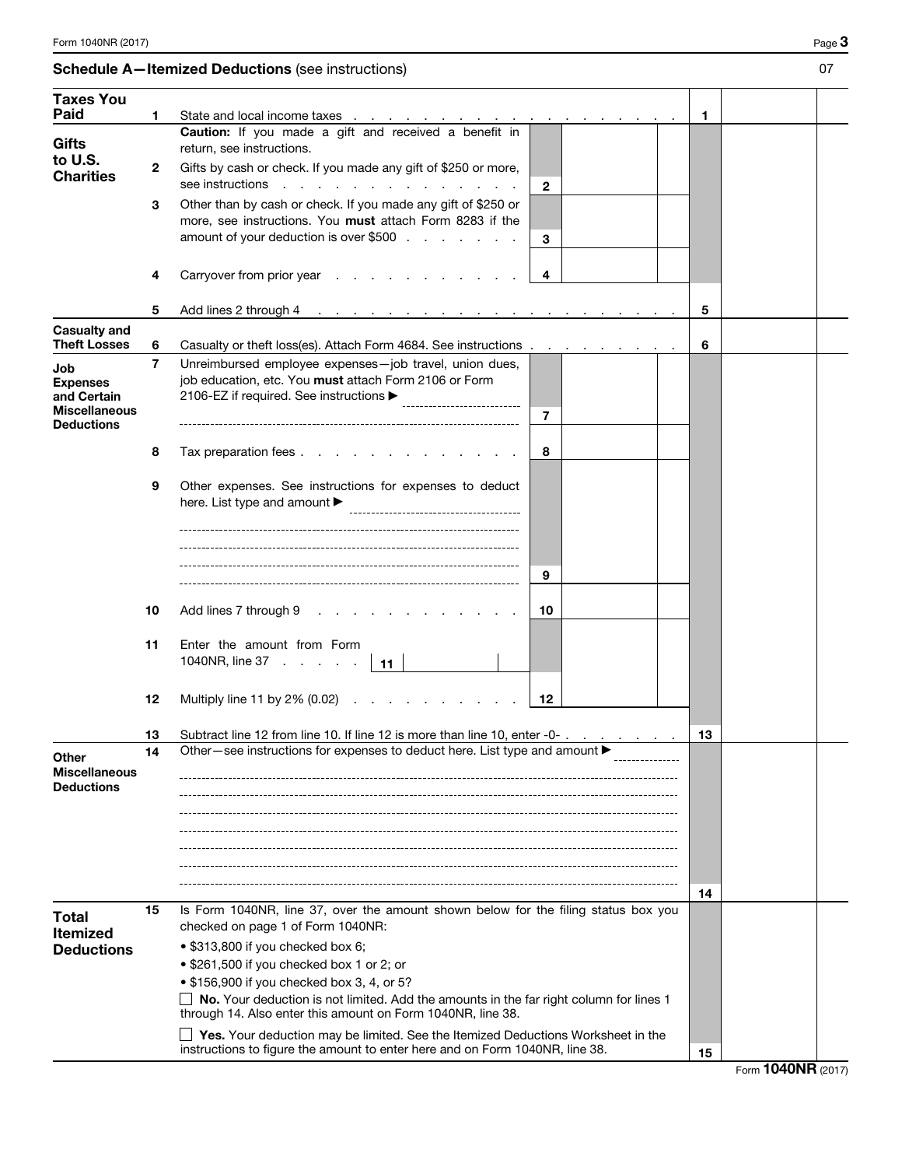|                                                                                    |                | $\frac{1}{2}$                                                                                                                                                                                                                  |    |  |
|------------------------------------------------------------------------------------|----------------|--------------------------------------------------------------------------------------------------------------------------------------------------------------------------------------------------------------------------------|----|--|
| <b>Taxes You</b>                                                                   |                |                                                                                                                                                                                                                                |    |  |
| Paid                                                                               | 1              | State and local income taxes <u>.</u>                                                                                                                                                                                          | 1  |  |
| Gifts<br>to U.S.                                                                   |                | Caution: If you made a gift and received a benefit in<br>return, see instructions.                                                                                                                                             |    |  |
| <b>Charities</b>                                                                   | $\mathbf{2}$   | Gifts by cash or check. If you made any gift of \$250 or more,<br>see instructions<br>$\mathbf{2}$                                                                                                                             |    |  |
|                                                                                    | 3              | Other than by cash or check. If you made any gift of \$250 or<br>more, see instructions. You must attach Form 8283 if the<br>amount of your deduction is over \$500<br>3                                                       |    |  |
|                                                                                    | 4              | Carryover from prior year<br>4                                                                                                                                                                                                 |    |  |
|                                                                                    | 5              | Add lines 2 through 4 research and a research of the second second second second in the second second second second second second second second second second second second second second second second second second second s | 5  |  |
| <b>Casualty and</b>                                                                |                |                                                                                                                                                                                                                                |    |  |
| <b>Theft Losses</b>                                                                | 6              | Casualty or theft loss(es). Attach Form 4684. See instructions                                                                                                                                                                 | 6  |  |
| Job<br><b>Expenses</b><br>and Certain<br><b>Miscellaneous</b><br><b>Deductions</b> | $\overline{7}$ | Unreimbursed employee expenses-job travel, union dues,<br>job education, etc. You must attach Form 2106 or Form<br>2106-EZ if required. See instructions ▶<br>7                                                                |    |  |
|                                                                                    | 8              | Tax preparation fees<br>8                                                                                                                                                                                                      |    |  |
|                                                                                    | 9              | Other expenses. See instructions for expenses to deduct<br>here. List type and amount $\blacktriangleright$                                                                                                                    |    |  |
|                                                                                    |                |                                                                                                                                                                                                                                |    |  |
|                                                                                    |                | 9                                                                                                                                                                                                                              |    |  |
|                                                                                    | 10             | Add lines 7 through 9<br>10                                                                                                                                                                                                    |    |  |
|                                                                                    | 11             | Enter the amount from Form                                                                                                                                                                                                     |    |  |
|                                                                                    |                | 1040NR, line $37 \cdot \cdot \cdot \cdot \cdot$<br>∣ 11                                                                                                                                                                        |    |  |
|                                                                                    | 12             | Multiply line 11 by $2\%$ (0.02) $\ldots$ $\ldots$<br>12                                                                                                                                                                       |    |  |
|                                                                                    | 13             | Subtract line 12 from line 10. If line 12 is more than line 10, enter -0-                                                                                                                                                      | 13 |  |
| <b>Other</b><br><b>Miscellaneous</b>                                               | 14             | Other-see instructions for expenses to deduct here. List type and amount ▶                                                                                                                                                     |    |  |
| <b>Deductions</b>                                                                  |                |                                                                                                                                                                                                                                |    |  |
|                                                                                    |                |                                                                                                                                                                                                                                |    |  |
|                                                                                    |                |                                                                                                                                                                                                                                |    |  |
|                                                                                    |                |                                                                                                                                                                                                                                | 14 |  |
| <b>Total</b><br><b>Itemized</b>                                                    | 15             | Is Form 1040NR, line 37, over the amount shown below for the filing status box you<br>checked on page 1 of Form 1040NR:                                                                                                        |    |  |
| <b>Deductions</b>                                                                  |                | • \$313,800 if you checked box 6;                                                                                                                                                                                              |    |  |
|                                                                                    |                | • \$261,500 if you checked box 1 or 2; or                                                                                                                                                                                      |    |  |
|                                                                                    |                | • \$156,900 if you checked box 3, 4, or 5?                                                                                                                                                                                     |    |  |
|                                                                                    |                | $\Box$ No. Your deduction is not limited. Add the amounts in the far right column for lines 1<br>through 14. Also enter this amount on Form 1040NR, line 38.                                                                   |    |  |
|                                                                                    |                | $\Box$ Yes. Your deduction may be limited. See the Itemized Deductions Worksheet in the<br>instructions to figure the amount to enter here and on Form 1040NR, line 38.                                                        | 15 |  |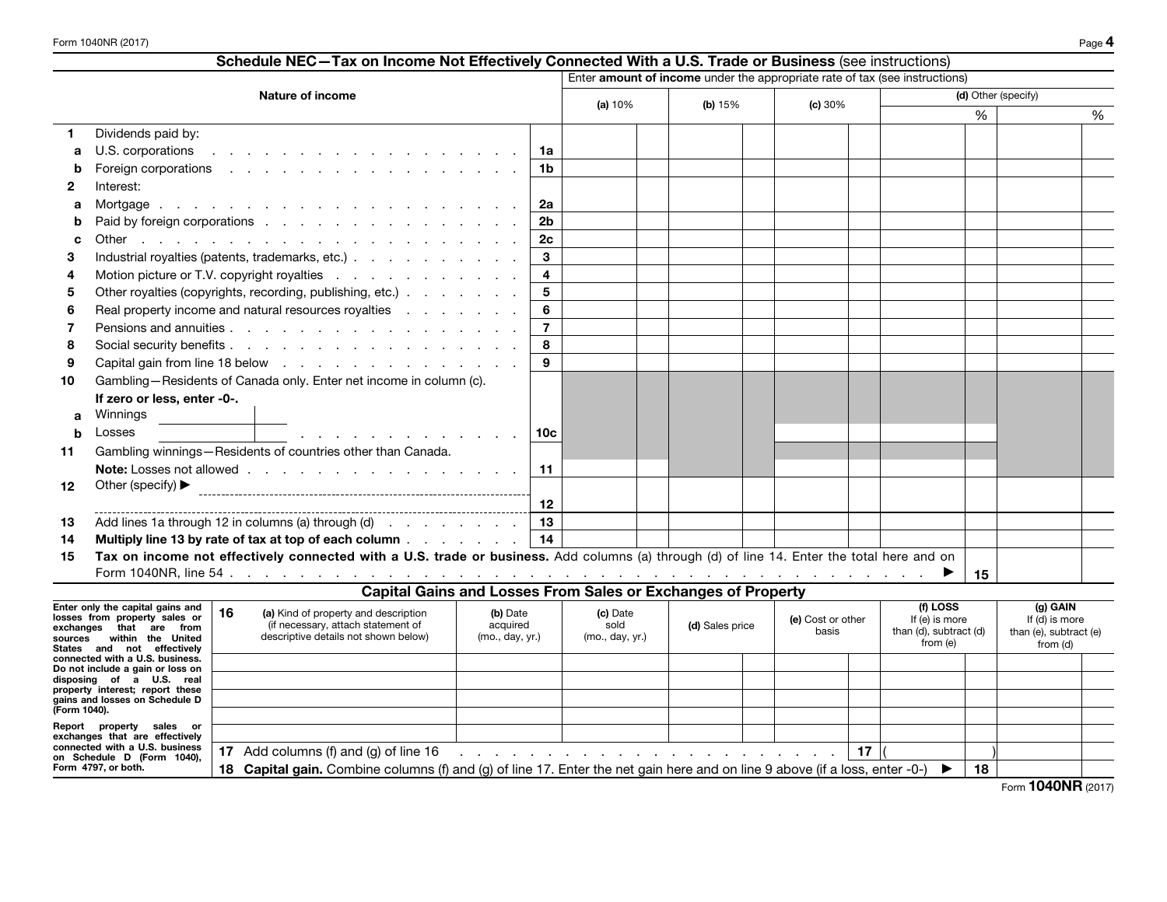| Schedule NEC-Tax on Income Not Effectively Connected With a U.S. Trade or Business (see instructions) |                                                                                                                                                                                                                                |                         |                        |  |  |         |                     |    |  |   |
|-------------------------------------------------------------------------------------------------------|--------------------------------------------------------------------------------------------------------------------------------------------------------------------------------------------------------------------------------|-------------------------|------------------------|--|--|---------|---------------------|----|--|---|
|                                                                                                       | Enter amount of income under the appropriate rate of tax (see instructions)                                                                                                                                                    |                         |                        |  |  |         |                     |    |  |   |
|                                                                                                       | Nature of income                                                                                                                                                                                                               |                         | (a) $10%$<br>(b) $15%$ |  |  | (c) 30% | (d) Other (specify) |    |  |   |
|                                                                                                       |                                                                                                                                                                                                                                |                         |                        |  |  |         |                     | %  |  | % |
|                                                                                                       | Dividends paid by:                                                                                                                                                                                                             |                         |                        |  |  |         |                     |    |  |   |
| а                                                                                                     | U.S. corporations in the contract of the contract of the contract of the contract of the contract of the contract of the contract of the contract of the contract of the contract of the contract of the contract of the contr | 1a                      |                        |  |  |         |                     |    |  |   |
|                                                                                                       |                                                                                                                                                                                                                                | 1 <sub>b</sub>          |                        |  |  |         |                     |    |  |   |
| 2                                                                                                     | Interest:                                                                                                                                                                                                                      |                         |                        |  |  |         |                     |    |  |   |
| а                                                                                                     |                                                                                                                                                                                                                                | <b>2a</b>               |                        |  |  |         |                     |    |  |   |
|                                                                                                       | Paid by foreign corporations                                                                                                                                                                                                   | 2 <sub>b</sub>          |                        |  |  |         |                     |    |  |   |
|                                                                                                       |                                                                                                                                                                                                                                | 2c                      |                        |  |  |         |                     |    |  |   |
| з                                                                                                     | Industrial royalties (patents, trademarks, etc.)                                                                                                                                                                               | $\mathbf{3}$            |                        |  |  |         |                     |    |  |   |
|                                                                                                       | Motion picture or T.V. copyright royalties                                                                                                                                                                                     | $\overline{\mathbf{4}}$ |                        |  |  |         |                     |    |  |   |
| 5                                                                                                     | Other royalties (copyrights, recording, publishing, etc.)                                                                                                                                                                      | $5\phantom{.0}$         |                        |  |  |         |                     |    |  |   |
| 6                                                                                                     | Real property income and natural resources royalties                                                                                                                                                                           | 6                       |                        |  |  |         |                     |    |  |   |
|                                                                                                       |                                                                                                                                                                                                                                | $\overline{7}$          |                        |  |  |         |                     |    |  |   |
| 8                                                                                                     |                                                                                                                                                                                                                                | 8                       |                        |  |  |         |                     |    |  |   |
| 9                                                                                                     | Capital gain from line 18 below                                                                                                                                                                                                | 9                       |                        |  |  |         |                     |    |  |   |
| 10                                                                                                    | Gambling-Residents of Canada only. Enter net income in column (c).                                                                                                                                                             |                         |                        |  |  |         |                     |    |  |   |
|                                                                                                       | If zero or less, enter -0-.                                                                                                                                                                                                    |                         |                        |  |  |         |                     |    |  |   |
| a                                                                                                     | Winnings                                                                                                                                                                                                                       |                         |                        |  |  |         |                     |    |  |   |
| h                                                                                                     | Losses<br>and the contract of the contract of the contract of                                                                                                                                                                  | 10 <sub>c</sub>         |                        |  |  |         |                     |    |  |   |
| 11                                                                                                    | Gambling winnings-Residents of countries other than Canada.                                                                                                                                                                    |                         |                        |  |  |         |                     |    |  |   |
|                                                                                                       |                                                                                                                                                                                                                                | 11                      |                        |  |  |         |                     |    |  |   |
| $12 \,$                                                                                               | Other (specify) $\blacktriangleright$                                                                                                                                                                                          |                         |                        |  |  |         |                     |    |  |   |
|                                                                                                       |                                                                                                                                                                                                                                | 12                      |                        |  |  |         |                     |    |  |   |
| 13                                                                                                    | Add lines 1a through 12 in columns (a) through (d) $\ldots$ $\ldots$ $\ldots$                                                                                                                                                  | 13                      |                        |  |  |         |                     |    |  |   |
| 14                                                                                                    | Multiply line 13 by rate of tax at top of each column $\ldots$ $\ldots$ $\ldots$                                                                                                                                               | 14                      |                        |  |  |         |                     |    |  |   |
| 15                                                                                                    | Tax on income not effectively connected with a U.S. trade or business. Add columns (a) through (d) of line 14. Enter the total here and on                                                                                     |                         |                        |  |  |         |                     | 15 |  |   |
|                                                                                                       | <b>Capital Gains and Losses From Sales or Exchanges of Property</b>                                                                                                                                                            |                         |                        |  |  |         |                     |    |  |   |
|                                                                                                       | Enter only the canital gains and $\ $ .<br>f11055<br>$(n)$ GAIN                                                                                                                                                                |                         |                        |  |  |         |                     |    |  |   |

| Enter only the capital gains and<br>losses from property sales or<br>that are<br>exchanges<br>from<br>within the United<br>sources<br>States and not effectively | 16                                                                                                                                    | (a) Kind of property and description<br>(if necessary, attach statement of<br>descriptive details not shown below)                                                                                                                                                          | (b) Date<br>acquired<br>(mo., day, yr.) | (c) Date<br>sold<br>(mo., day, yr.) | (d) Sales price |  | (e) Cost or other<br>basis |  | (f) LOSS<br>If (e) is more<br>than (d), subtract (d)<br>from (e) |  | (g) GAIN<br>If (d) is more<br>than (e), subtract (e)<br>from (d) |  |
|------------------------------------------------------------------------------------------------------------------------------------------------------------------|---------------------------------------------------------------------------------------------------------------------------------------|-----------------------------------------------------------------------------------------------------------------------------------------------------------------------------------------------------------------------------------------------------------------------------|-----------------------------------------|-------------------------------------|-----------------|--|----------------------------|--|------------------------------------------------------------------|--|------------------------------------------------------------------|--|
| connected with a U.S. business.                                                                                                                                  |                                                                                                                                       |                                                                                                                                                                                                                                                                             |                                         |                                     |                 |  |                            |  |                                                                  |  |                                                                  |  |
| Do not include a gain or loss on<br>disposing of a U.S. real<br>property interest; report these                                                                  |                                                                                                                                       |                                                                                                                                                                                                                                                                             |                                         |                                     |                 |  |                            |  |                                                                  |  |                                                                  |  |
| gains and losses on Schedule D<br>(Form 1040).                                                                                                                   |                                                                                                                                       |                                                                                                                                                                                                                                                                             |                                         |                                     |                 |  |                            |  |                                                                  |  |                                                                  |  |
|                                                                                                                                                                  |                                                                                                                                       |                                                                                                                                                                                                                                                                             |                                         |                                     |                 |  |                            |  |                                                                  |  |                                                                  |  |
| Report property sales or<br>exchanges that are effectively                                                                                                       |                                                                                                                                       |                                                                                                                                                                                                                                                                             |                                         |                                     |                 |  |                            |  |                                                                  |  |                                                                  |  |
| connected with a U.S. business<br>on Schedule D (Form 1040),                                                                                                     | 17                                                                                                                                    | Add columns (f) and (g) of line $16$<br>17<br>a construction of the construction of the construction of the construction of the construction of the construction of the construction of the construction of the construction of the construction of the construction of the |                                         |                                     |                 |  |                            |  |                                                                  |  |                                                                  |  |
| Form 4797, or both.                                                                                                                                              | <b>Capital gain.</b> Combine columns (f) and (g) of line 17. Enter the net gain here and on line 9 above (if a loss, enter -0-)<br>18 |                                                                                                                                                                                                                                                                             |                                         |                                     |                 |  |                            |  | 18                                                               |  |                                                                  |  |
|                                                                                                                                                                  |                                                                                                                                       |                                                                                                                                                                                                                                                                             |                                         |                                     |                 |  |                            |  |                                                                  |  | $-$ 4040NID $\cos x$                                             |  |

Form 1040NR (2017)